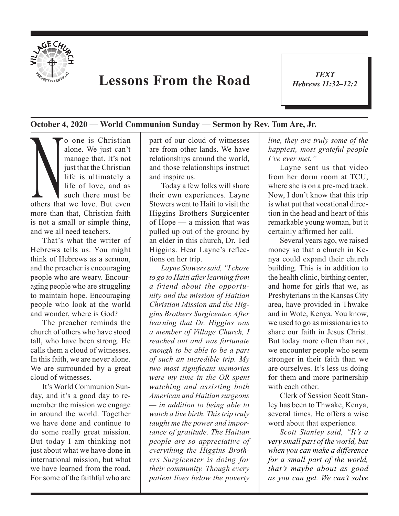

## **Lessons From the Road**

*TEXT Hebrews 11:32–12:2* 1

**October 4, 2020 — World Communion Sunday — Sermon by Rev. Tom Are, Jr.**

alone. We just can't<br>alone. We just can't<br>manage that. It's not<br>just that the Christian<br>life is ultimately a<br>life of love, and as<br>such there must be<br>others that we love. But even alone. We just can't manage that. It's not just that the Christian life is ultimately a life of love, and as such there must be others that we love. But even more than that, Christian faith is not a small or simple thing, and we all need teachers.

That's what the writer of Hebrews tells us. You might think of Hebrews as a sermon, and the preacher is encouraging people who are weary. Encouraging people who are struggling to maintain hope. Encouraging people who look at the world and wonder, where is God?

The preacher reminds the church of others who have stood tall, who have been strong. He calls them a cloud of witnesses. In this faith, we are never alone. We are surrounded by a great cloud of witnesses.

It's World Communion Sunday, and it's a good day to remember the mission we engage in around the world. Together we have done and continue to do some really great mission. But today I am thinking not just about what we have done in international mission, but what we have learned from the road. For some of the faithful who are

part of our cloud of witnesses are from other lands. We have relationships around the world, and those relationships instruct and inspire us.

Today a few folks will share their own experiences. Layne Stowers went to Haiti to visit the Higgins Brothers Surgicenter of Hope — a mission that was pulled up out of the ground by an elder in this church, Dr. Ted Higgins. Hear Layne's reflections on her trip.

*Layne Stowers said, "I chose to go to Haiti after learning from a friend about the opportunity and the mission of Haitian Christian Mission and the Higgins Brothers Surgicenter. After learning that Dr. Higgins was a member of Village Church, I reached out and was fortunate enough to be able to be a part of such an incredible trip. My two most significant memories were my time in the OR spent watching and assisting both American and Haitian surgeons — in addition to being able to watch a live birth. This trip truly taught me the power and importance of gratitude. The Haitian people are so appreciative of everything the Higgins Brothers Surgicenter is doing for their community. Though every patient lives below the poverty* 

*line, they are truly some of the happiest, most grateful people I've ever met."*

Layne sent us that video from her dorm room at TCU, where she is on a pre-med track. Now, I don't know that this trip is what put that vocational direction in the head and heart of this remarkable young woman, but it certainly affirmed her call.

Several years ago, we raised money so that a church in Kenya could expand their church building. This is in addition to the health clinic, birthing center, and home for girls that we, as Presbyterians in the Kansas City area, have provided in Thwake and in Wote, Kenya. You know, we used to go as missionaries to share our faith in Jesus Christ. But today more often than not, we encounter people who seem stronger in their faith than we are ourselves. It's less us doing for them and more partnership with each other.

Clerk of Session Scott Stanley has been to Thwake, Kenya, several times. He offers a wise word about that experience.

*Scott Stanley said, "It's a very small part of the world, but when you can make a difference for a small part of the world, that's maybe about as good as you can get. We can't solve*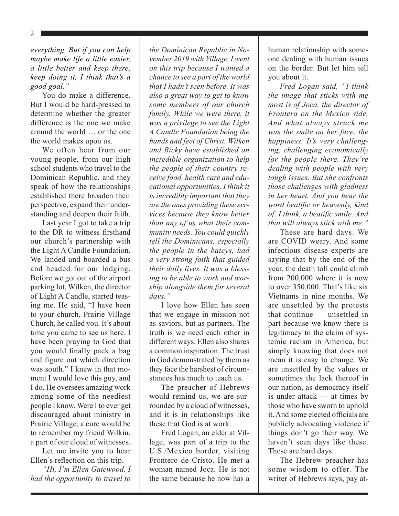*everything. But if you can help maybe make life a little easier, a little better and keep there, keep doing it, I think that's a good goal."*

You do make a difference. But I would be hard-pressed to determine whether the greater difference is the one we make around the world … or the one the world makes upon us.

We often hear from our young people, from our high school students who travel to the Dominican Republic, and they speak of how the relationships established there broaden their perspective, expand their understanding and deepen their faith.

Last year I got to take a trip to the DR to witness firsthand our church's partnership with the Light A Candle Foundation. We landed and boarded a bus and headed for our lodging. Before we got out of the airport parking lot, Wilken, the director of Light A Candle, started teasing me. He said, "I have been to your church, Prairie Village Church, he called you. It's about time you came to see us here. I have been praying to God that you would finally pack a bag and figure out which direction was south." I knew in that moment I would love this guy, and I do. He oversees amazing work among some of the neediest people I know. Were I to ever get discouraged about ministry in Prairie Village, a cure would be to remember my friend Wilkin, a part of our cloud of witnesses.

Let me invite you to hear Ellen's reflection on this trip.

*"Hi, I'm Ellen Gatewood. I had the opportunity to travel to* 

*the Dominican Republic in November 2019 with Village. I went on this trip because I wanted a chance to see a part of the world that I hadn't seen before. It was also a great way to get to know some members of our church family. While we were there, it was a privilege to see the Light A Candle Foundation being the hands and feet of Christ. Wilken and Ricky have established an incredible organization to help the people of their country receive food, health care and educational opportunities. I think it is incredibly important that they are the ones providing these services because they know better than any of us what their community needs. You could quickly tell the Dominicans, especially the people in the bateys, had a very strong faith that guided their daily lives. It was a blessing to be able to work and worship alongside them for several days."*

I love how Ellen has seen that we engage in mission not as saviors, but as partners. The truth is we need each other in different ways. Ellen also shares a common inspiration. The trust in God demonstrated by them as they face the harshest of circumstances has much to teach us.

The preacher of Hebrews would remind us, we are surrounded by a cloud of witnesses, and it is in relationships like these that God is at work.

Fred Logan, an elder at Village, was part of a trip to the U.S./Mexico border, visiting Frontero de Cristo. He met a woman named Joca. He is not the same because he now has a human relationship with someone dealing with human issues on the border. But let him tell you about it.

*Fred Logan said, "I think the image that sticks with me most is of Joca, the director of Frontera on the Mexico side. And what always struck me was the smile on her face, the happiness. It's very challenging, challenging economically for the people there. They're dealing with people with very tough issues. But she confronts those challenges with gladness in her heart. And you hear the word beatific or heavenly, kind of, I think, a beatific smile. And that will always stick with me."*

These are hard days. We are COVID weary. And some infectious disease experts are saying that by the end of the year, the death toll could climb from 200,000 where it is now to over 350,000. That's like six Vietnams in nine months. We are unsettled by the protests that continue — unsettled in part because we know there is legitimacy to the claim of systemic racism in America, but simply knowing that does not mean it is easy to change. We are unsettled by the values or sometimes the lack thereof in our nation, as democracy itself is under attack — at times by those who have sworn to uphold it. And some elected officials are publicly advocating violence if things don't go their way. We haven't seen days like these. These are hard days.

The Hebrew preacher has some wisdom to offer. The writer of Hebrews says, pay at